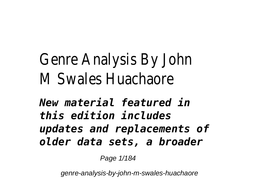## Genre Analysis By John M Swales Huachaore

*New material featured in this edition includes updates and replacements of older data sets, a broader*

Page 1/184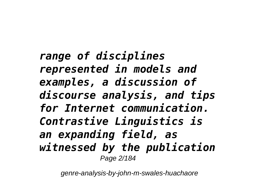*range of disciplines represented in models and examples, a discussion of discourse analysis, and tips for Internet communication. Contrastive Linguistics is an expanding field, as witnessed by the publication* Page 2/184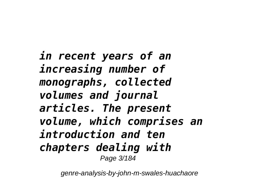*in recent years of an increasing number of monographs, collected volumes and journal articles. The present volume, which comprises an introduction and ten chapters dealing with* Page 3/184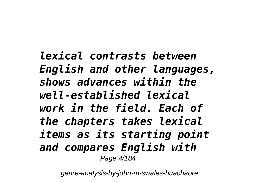*lexical contrasts between English and other languages, shows advances within the well-established lexical work in the field. Each of the chapters takes lexical items as its starting point and compares English with* Page 4/184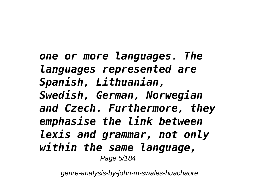*one or more languages. The languages represented are Spanish, Lithuanian, Swedish, German, Norwegian and Czech. Furthermore, they emphasise the link between lexis and grammar, not only within the same language,* Page 5/184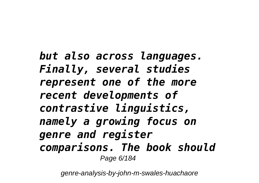*but also across languages. Finally, several studies represent one of the more recent developments of contrastive linguistics, namely a growing focus on genre and register comparisons. The book should* Page 6/184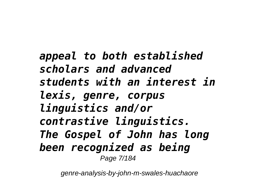*appeal to both established scholars and advanced students with an interest in lexis, genre, corpus linguistics and/or contrastive linguistics. The Gospel of John has long been recognized as being* Page 7/184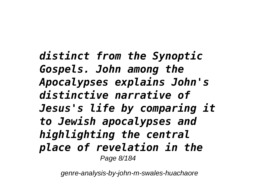*distinct from the Synoptic Gospels. John among the Apocalypses explains John's distinctive narrative of Jesus's life by comparing it to Jewish apocalypses and highlighting the central place of revelation in the* Page 8/184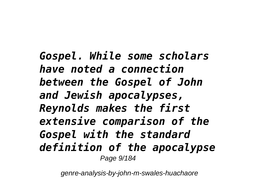*Gospel. While some scholars have noted a connection between the Gospel of John and Jewish apocalypses, Reynolds makes the first extensive comparison of the Gospel with the standard definition of the apocalypse* Page 9/184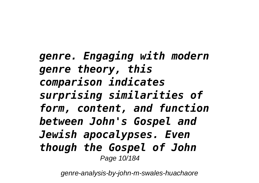*genre. Engaging with modern genre theory, this comparison indicates surprising similarities of form, content, and function between John's Gospel and Jewish apocalypses. Even though the Gospel of John* Page 10/184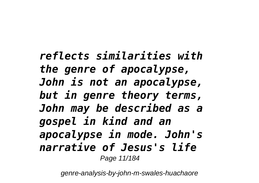*reflects similarities with the genre of apocalypse, John is not an apocalypse, but in genre theory terms, John may be described as a gospel in kind and an apocalypse in mode. John's narrative of Jesus's life* Page 11/184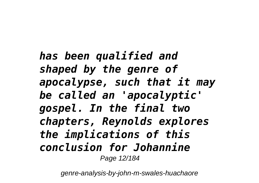*has been qualified and shaped by the genre of apocalypse, such that it may be called an 'apocalyptic' gospel. In the final two chapters, Reynolds explores the implications of this conclusion for Johannine* Page 12/184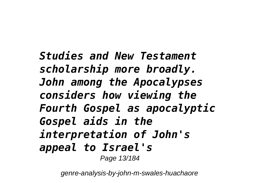*Studies and New Testament scholarship more broadly. John among the Apocalypses considers how viewing the Fourth Gospel as apocalyptic Gospel aids in the interpretation of John's appeal to Israel's* Page 13/184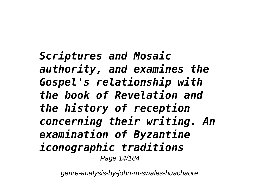*Scriptures and Mosaic authority, and examines the Gospel's relationship with the book of Revelation and the history of reception concerning their writing. An examination of Byzantine iconographic traditions* Page 14/184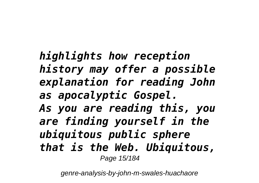*highlights how reception history may offer a possible explanation for reading John as apocalyptic Gospel. As you are reading this, you are finding yourself in the ubiquitous public sphere that is the Web. Ubiquitous,* Page 15/184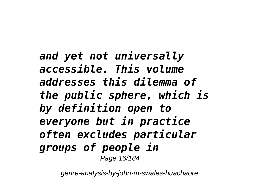*and yet not universally accessible. This volume addresses this dilemma of the public sphere, which is by definition open to everyone but in practice often excludes particular groups of people in* Page 16/184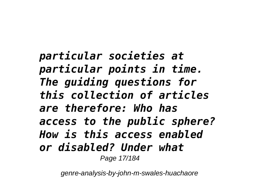*particular societies at particular points in time. The guiding questions for this collection of articles are therefore: Who has access to the public sphere? How is this access enabled or disabled? Under what* Page 17/184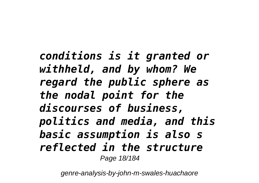*conditions is it granted or withheld, and by whom? We regard the public sphere as the nodal point for the discourses of business, politics and media, and this basic assumption is also s reflected in the structure* Page 18/184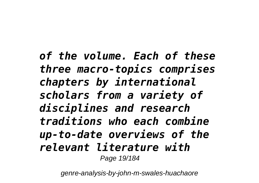*of the volume. Each of these three macro-topics comprises chapters by international scholars from a variety of disciplines and research traditions who each combine up-to-date overviews of the relevant literature with* Page 19/184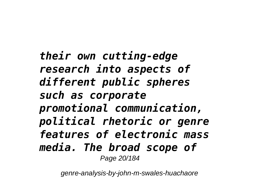*their own cutting-edge research into aspects of different public spheres such as corporate promotional communication, political rhetoric or genre features of electronic mass media. The broad scope of* Page 20/184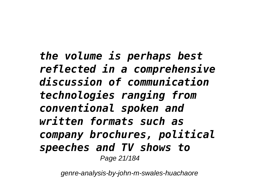*the volume is perhaps best reflected in a comprehensive discussion of communication technologies ranging from conventional spoken and written formats such as company brochures, political speeches and TV shows to* Page 21/184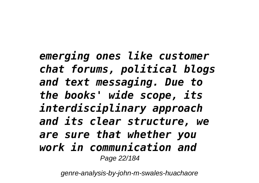*emerging ones like customer chat forums, political blogs and text messaging. Due to the books' wide scope, its interdisciplinary approach and its clear structure, we are sure that whether you work in communication and* Page 22/184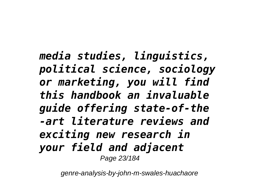*media studies, linguistics, political science, sociology or marketing, you will find this handbook an invaluable guide offering state-of-the -art literature reviews and exciting new research in your field and adjacent* Page 23/184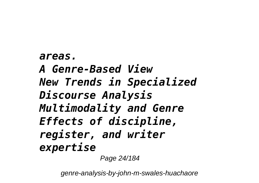*areas. A Genre-Based View New Trends in Specialized Discourse Analysis Multimodality and Genre Effects of discipline, register, and writer expertise*

Page 24/184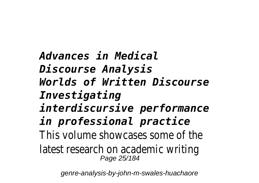*Advances in Medical Discourse Analysis Worlds of Written Discourse Investigating interdiscursive performance in professional practice* This volume showcases some of latest research on academic w Page 25/184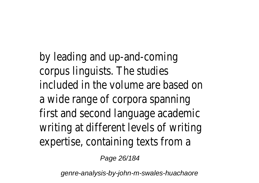by leading and up-and-coming corpus linguists. The studies included in the volume are base a wide range of corpora spanni first and second language acad writing at different levels of w expertise, containing texts from

Page 26/184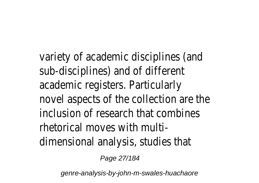variety of academic disciplines sub-disciplines) and of different academic registers. Particularly novel aspects of the collection inclusion of research that comb rhetorical moves with multidimensional analysis, studies that

Page 27/184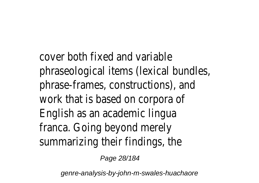cover both fixed and variable phraseological items (lexical bundles) phrase-frames, constructions), work that is based on corpora English as an academic lingua franca. Going beyond merely summarizing their findings, the

Page 28/184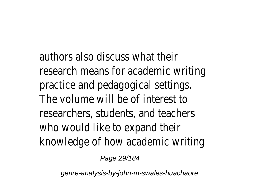authors also discuss what their research means for academic v practice and pedagogical setting The volume will be of interest  $\overline{a}$ researchers, students, and tead who would like to expand their knowledge of how academic w

Page 29/184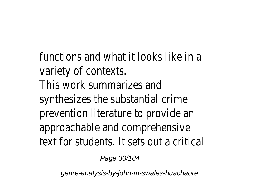functions and what it looks like variety of contexts. This work summarizes and synthesizes the substantial crim prevention literature to provide approachable and comprehensive text for students. It sets out a

Page 30/184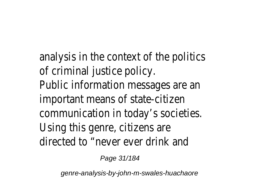analysis in the context of the political of criminal justice policy. Public information messages an important means of state-citize communication in today's socie Using this genre, citizens are directed to "never ever drink are

Page 31/184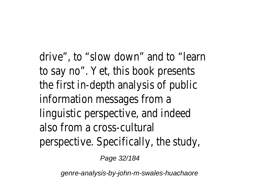drive", to "slow down" and to  $"$ to say no". Yet, this book prese the first in-depth analysis of pu information messages from a linguistic perspective, and indee also from a cross-cultural perspective. Specifically, the st

Page 32/184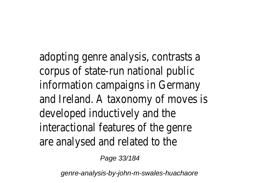adopting genre analysis, contra corpus of state-run national pu information campaigns in Germ and Ireland. A taxonomy of move developed inductively and the interactional features of the ge are analysed and related to the

Page 33/184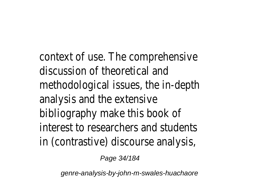context of use. The comprehen discussion of theoretical and methodological issues, the in-depth analysis and the extensive bibliography make this book of interest to researchers and students in (contrastive) discourse analy

Page 34/184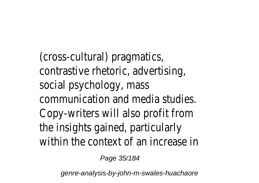(cross-cultural) pragmatics, contrastive rhetoric, advertisin social psychology, mass communication and media stud Copy-writers will also profit from the insights gained, particularly within the context of an increa

Page 35/184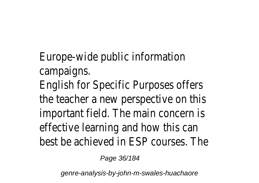Europe-wide public information campaigns.

English for Specific Purposes of the teacher a new perspective important field. The main conce effective learning and how this best be achieved in FSP course.

Page 36/184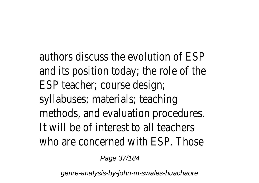authors discuss the evolution of ESP and its position today; the role of the ESP teacher; course design; syllabuses; materials; teaching methods, and evaluation procedures. It will be of interest to all teachers who are concerned with ESP. Those

Page 37/184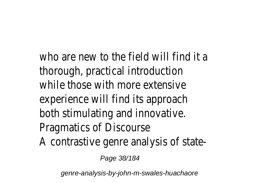who are new to the field will find it a thorough, practical introduction while those with more extensive experience will find its approach both stimulating and innovative. Pragmatics of Discourse A contrastive genre analysis of state-

Page 38/184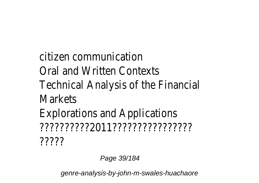citizen communication Oral and Written Contexts Technical Analysis of the Financial Markets Explorations and Applications ??????????2011????????????????

?????

Page 39/184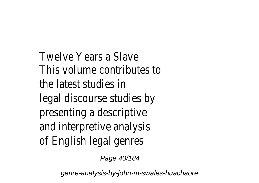Twelve Years a Slave This volume contributes to the latest studies in legal discourse studies by presenting a descriptive and interpretive analysis of English legal genres

Page 40/184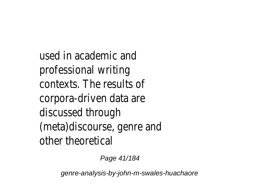used in academic and professional writing contexts. The results of corpora-driven data are discussed through (meta)discourse, genre and other theoretical

Page 41/184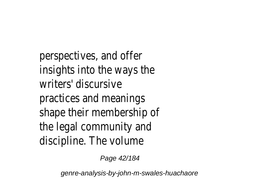perspectives, and offer insights into the ways the writers' discursive practices and meanings shape their membership of the legal community and discipline. The volume

Page 42/184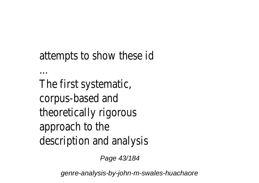## attempts to show these id

The first systematic, corpus-based and theoretically rigorous approach to the description and analysis

...

Page 43/184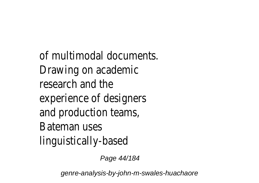of multimodal documents. Drawing on academic research and the experience of designers and production teams, Bateman uses linguistically-based

Page 44/184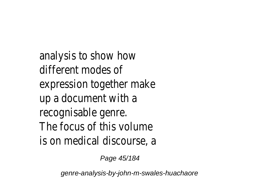analysis to show how different modes of expression together make up a document with a recognisable genre. The focus of this volume is on medical discourse, a

Page 45/184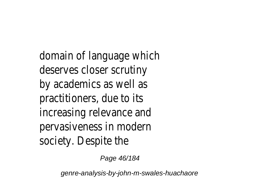domain of language which deserves closer scrutiny by academics as well as practitioners, due to its increasing relevance and pervasiveness in modern society. Despite the

Page 46/184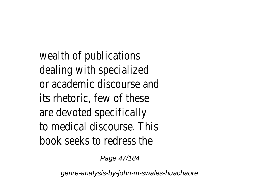wealth of publications dealing with specialized or academic discourse and its rhetoric, few of these are devoted specifically to medical discourse. This book seeks to redress the

Page 47/184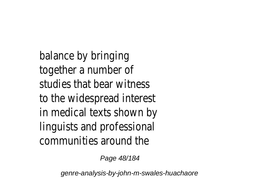balance by bringing together a number of studies that bear witness to the widespread interest in medical texts shown by linguists and professional communities around the

Page 48/184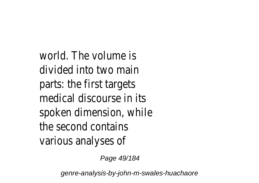world. The volume is divided into two main parts: the first targets medical discourse in its spoken dimension, while the second contains various analyses of

Page 49/184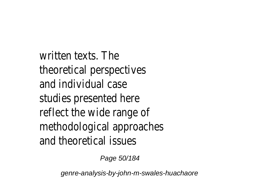written texts. The theoretical perspectives and individual case studies presented here reflect the wide range of methodological approaches and theoretical issues

Page 50/184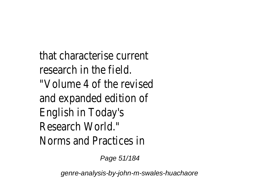that characterise current research in the field. "Volume 4 of the revised and expanded edition of English in Today's Research World." Norms and Practices in

Page 51/184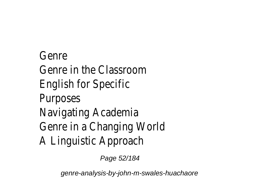Genre Genre in the Classroom English for Specific Purposes Navigating Academia Genre in a Changing World A Linguistic Approach

Page 52/184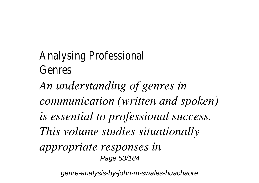Analysing Professional Genres *An understanding of genres in communication (written and spoken) is essential to professional success. This volume studies situationally appropriate responses in* Page 53/184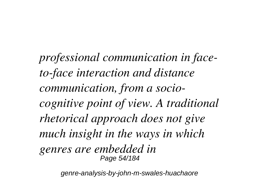*professional communication in faceto-face interaction and distance communication, from a sociocognitive point of view. A traditional rhetorical approach does not give much insight in the ways in which genres are embedded in* Page 54/184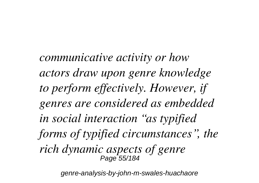*communicative activity or how actors draw upon genre knowledge to perform effectively. However, if genres are considered as embedded in social interaction "as typified forms of typified circumstances", the rich dynamic aspects of genre* Page 55/184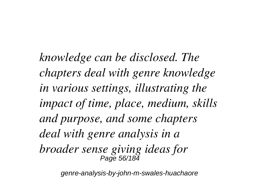*knowledge can be disclosed. The chapters deal with genre knowledge in various settings, illustrating the impact of time, place, medium, skills and purpose, and some chapters deal with genre analysis in a broader sense giving ideas for* Page 56/184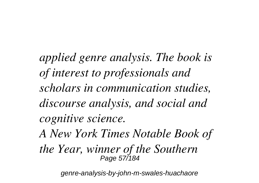*applied genre analysis. The book is of interest to professionals and scholars in communication studies, discourse analysis, and social and cognitive science.*

*A New York Times Notable Book of*

*the Year, winner of the Southern* Page 57/184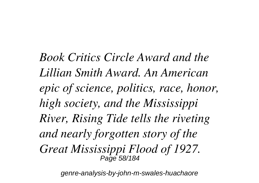*Book Critics Circle Award and the Lillian Smith Award. An American epic of science, politics, race, honor, high society, and the Mississippi River, Rising Tide tells the riveting and nearly forgotten story of the Great Mississippi Flood of 1927.* Page 58/184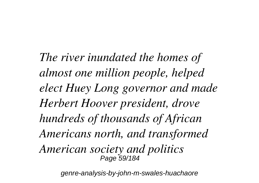*The river inundated the homes of almost one million people, helped elect Huey Long governor and made Herbert Hoover president, drove hundreds of thousands of African Americans north, and transformed American society and politics* Page 59/184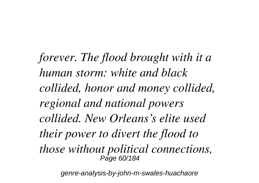*forever. The flood brought with it a human storm: white and black collided, honor and money collided, regional and national powers collided. New Orleans's elite used their power to divert the flood to those without political connections,* Page 60/184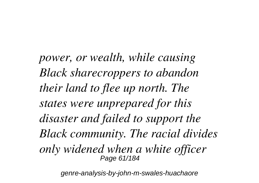*power, or wealth, while causing Black sharecroppers to abandon their land to flee up north. The states were unprepared for this disaster and failed to support the Black community. The racial divides only widened when a white officer* Page 61/184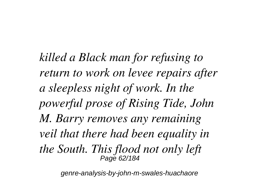*killed a Black man for refusing to return to work on levee repairs after a sleepless night of work. In the powerful prose of Rising Tide, John M. Barry removes any remaining veil that there had been equality in the South. This flood not only left* Page 62/184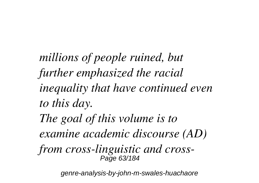*millions of people ruined, but further emphasized the racial inequality that have continued even to this day. The goal of this volume is to examine academic discourse (AD) from cross-linguistic and cross-*Page 63/184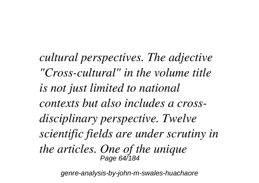*cultural perspectives. The adjective "Cross-cultural" in the volume title is not just limited to national contexts but also includes a crossdisciplinary perspective. Twelve scientific fields are under scrutiny in the articles. One of the unique* Page 64/184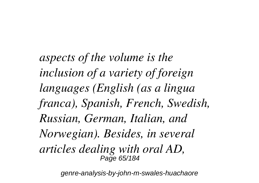*aspects of the volume is the inclusion of a variety of foreign languages (English (as a lingua franca), Spanish, French, Swedish, Russian, German, Italian, and Norwegian). Besides, in several articles dealing with oral AD,* Page 65/184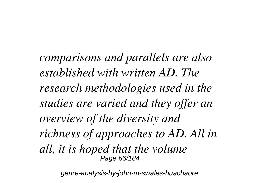*comparisons and parallels are also established with written AD. The research methodologies used in the studies are varied and they offer an overview of the diversity and richness of approaches to AD. All in all, it is hoped that the volume* Page 66/184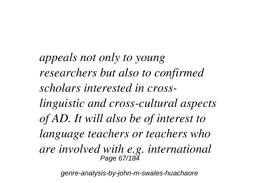*appeals not only to young researchers but also to confirmed scholars interested in crosslinguistic and cross-cultural aspects of AD. It will also be of interest to language teachers or teachers who are involved with e.g. international* Page 67/184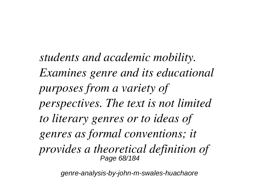*students and academic mobility. Examines genre and its educational purposes from a variety of perspectives. The text is not limited to literary genres or to ideas of genres as formal conventions; it provides a theoretical definition of* Page 68/184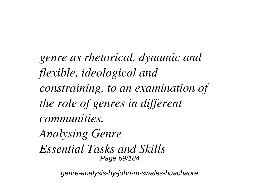*genre as rhetorical, dynamic and flexible, ideological and constraining, to an examination of the role of genres in different communities. Analysing Genre*

*Essential Tasks and Skills* Page 69/184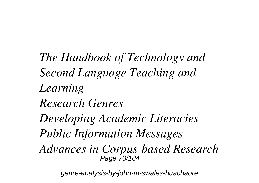*The Handbook of Technology and Second Language Teaching and Learning Research Genres Developing Academic Literacies Public Information Messages Advances in Corpus-based Research* Page 70/184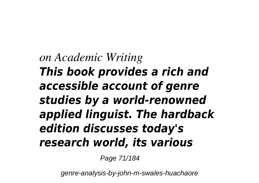## *on Academic Writing This book provides a rich and accessible account of genre studies by a world-renowned applied linguist. The hardback edition discusses today's research world, its various*

Page 71/184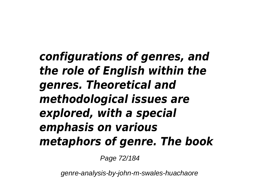*configurations of genres, and the role of English within the genres. Theoretical and methodological issues are explored, with a special emphasis on various metaphors of genre. The book*

Page 72/184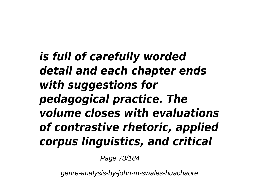*is full of carefully worded detail and each chapter ends with suggestions for pedagogical practice. The volume closes with evaluations of contrastive rhetoric, applied corpus linguistics, and critical*

Page 73/184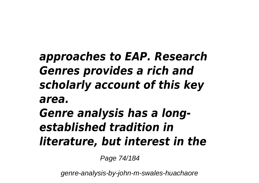## *approaches to EAP. Research Genres provides a rich and scholarly account of this key area. Genre analysis has a longestablished tradition in literature, but interest in the*

Page 74/184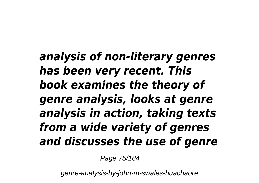*analysis of non-literary genres has been very recent. This book examines the theory of genre analysis, looks at genre analysis in action, taking texts from a wide variety of genres and discusses the use of genre*

Page 75/184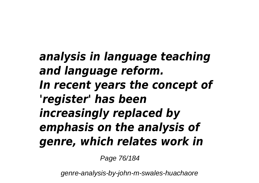*analysis in language teaching and language reform. In recent years the concept of 'register' has been increasingly replaced by emphasis on the analysis of genre, which relates work in*

Page 76/184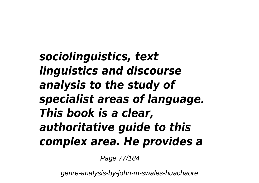*sociolinguistics, text linguistics and discourse analysis to the study of specialist areas of language. This book is a clear, authoritative guide to this complex area. He provides a*

Page 77/184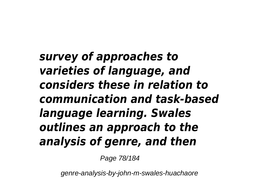*survey of approaches to varieties of language, and considers these in relation to communication and task-based language learning. Swales outlines an approach to the analysis of genre, and then*

Page 78/184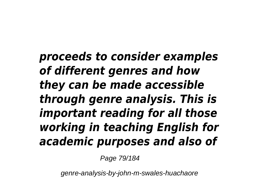*proceeds to consider examples of different genres and how they can be made accessible through genre analysis. This is important reading for all those working in teaching English for academic purposes and also of*

Page 79/184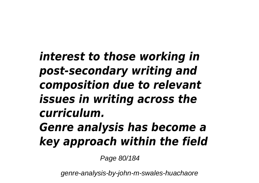*interest to those working in post-secondary writing and composition due to relevant issues in writing across the curriculum. Genre analysis has become a key approach within the field*

Page 80/184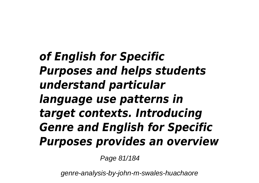*of English for Specific Purposes and helps students understand particular language use patterns in target contexts. Introducing Genre and English for Specific Purposes provides an overview*

Page 81/184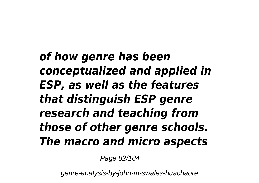*of how genre has been conceptualized and applied in ESP, as well as the features that distinguish ESP genre research and teaching from those of other genre schools. The macro and micro aspects*

Page 82/184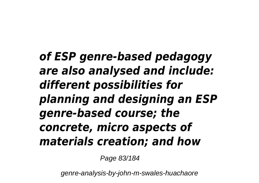*of ESP genre-based pedagogy are also analysed and include: different possibilities for planning and designing an ESP genre-based course; the concrete, micro aspects of materials creation; and how*

Page 83/184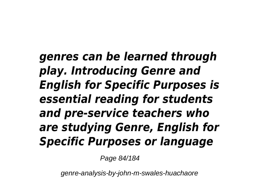*genres can be learned through play. Introducing Genre and English for Specific Purposes is essential reading for students and pre-service teachers who are studying Genre, English for Specific Purposes or language*

Page 84/184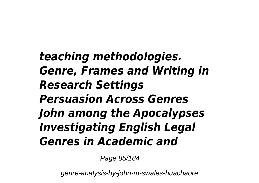*teaching methodologies. Genre, Frames and Writing in Research Settings Persuasion Across Genres John among the Apocalypses Investigating English Legal Genres in Academic and*

Page 85/184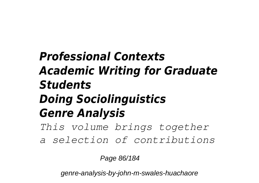## *Professional Contexts Academic Writing for Graduate Students Doing Sociolinguistics Genre Analysis This volume brings together*

*a selection of contributions*

Page 86/184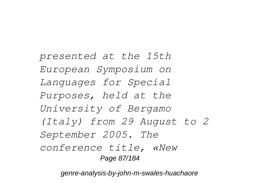*presented at the 15th European Symposium on Languages for Special Purposes, held at the University of Bergamo (Italy) from 29 August to 2 September 2005. The conference title, «New* Page 87/184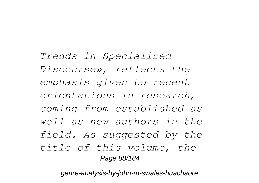*Trends in Specialized Discourse», reflects the emphasis given to recent orientations in research, coming from established as well as new authors in the field. As suggested by the title of this volume, the* Page 88/184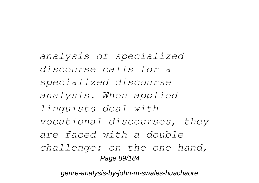*analysis of specialized discourse calls for a specialized discourse analysis. When applied linguists deal with vocational discourses, they are faced with a double challenge: on the one hand,* Page 89/184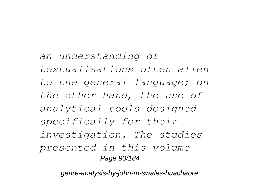*an understanding of textualisations often alien to the general language; on the other hand, the use of analytical tools designed specifically for their investigation. The studies presented in this volume* Page 90/184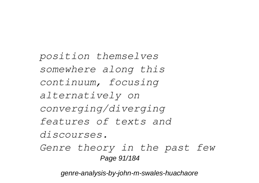*position themselves somewhere along this continuum, focusing alternatively on converging/diverging features of texts and discourses. Genre theory in the past few* Page 91/184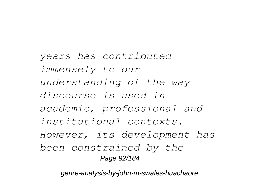*years has contributed immensely to our understanding of the way discourse is used in academic, professional and institutional contexts. However, its development has been constrained by the* Page 92/184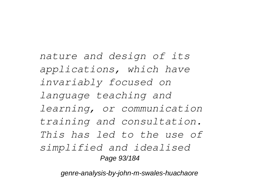*nature and design of its applications, which have invariably focused on language teaching and learning, or communication training and consultation. This has led to the use of simplified and idealised* Page 93/184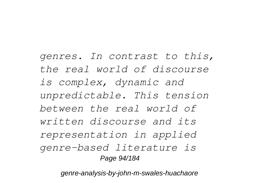*genres. In contrast to this, the real world of discourse is complex, dynamic and unpredictable. This tension between the real world of written discourse and its representation in applied genre-based literature is* Page 94/184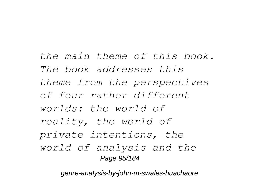*the main theme of this book. The book addresses this theme from the perspectives of four rather different worlds: the world of reality, the world of private intentions, the world of analysis and the* Page 95/184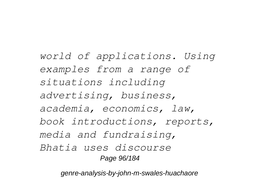*world of applications. Using examples from a range of situations including advertising, business, academia, economics, law, book introductions, reports, media and fundraising, Bhatia uses discourse* Page 96/184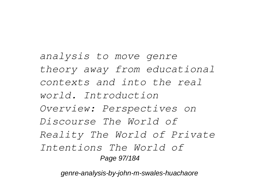*analysis to move genre theory away from educational contexts and into the real world. Introduction Overview: Perspectives on Discourse The World of Reality The World of Private Intentions The World of* Page 97/184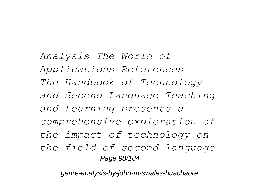*Analysis The World of Applications References The Handbook of Technology and Second Language Teaching and Learning presents a comprehensive exploration of the impact of technology on the field of second language* Page 98/184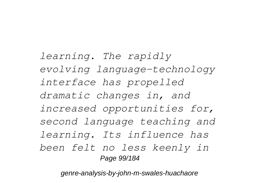*learning. The rapidly evolving language-technology interface has propelled dramatic changes in, and increased opportunities for, second language teaching and learning. Its influence has been felt no less keenly in* Page 99/184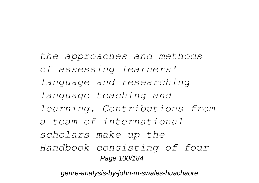*the approaches and methods of assessing learners' language and researching language teaching and learning. Contributions from a team of international scholars make up the Handbook consisting of four* Page 100/184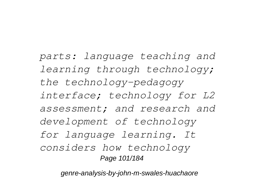*parts: language teaching and learning through technology; the technology-pedagogy interface; technology for L2 assessment; and research and development of technology for language learning. It considers how technology* Page 101/184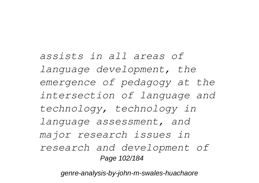*assists in all areas of language development, the emergence of pedagogy at the intersection of language and technology, technology in language assessment, and major research issues in research and development of* Page 102/184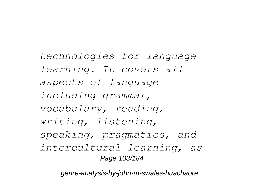*technologies for language learning. It covers all aspects of language including grammar, vocabulary, reading, writing, listening, speaking, pragmatics, and intercultural learning, as* Page 103/184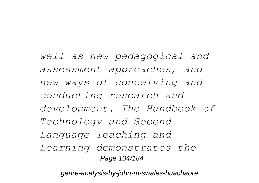*well as new pedagogical and assessment approaches, and new ways of conceiving and conducting research and development. The Handbook of Technology and Second Language Teaching and Learning demonstrates the* Page 104/184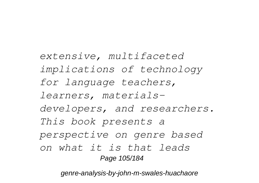*extensive, multifaceted implications of technology for language teachers, learners, materialsdevelopers, and researchers. This book presents a perspective on genre based on what it is that leads* Page 105/184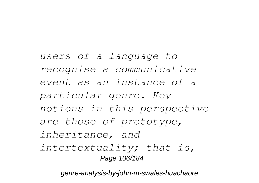*users of a language to recognise a communicative event as an instance of a particular genre. Key notions in this perspective are those of prototype, inheritance, and intertextuality; that is,* Page 106/184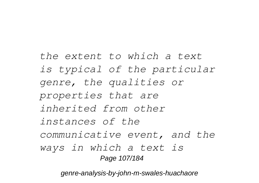*the extent to which a text is typical of the particular genre, the qualities or properties that are inherited from other instances of the communicative event, and the ways in which a text is* Page 107/184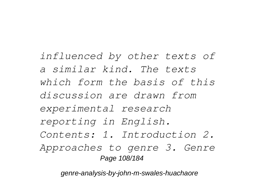*influenced by other texts of a similar kind. The texts which form the basis of this discussion are drawn from experimental research reporting in English. Contents: 1. Introduction 2. Approaches to genre 3. Genre* Page 108/184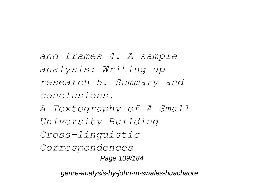*and frames 4. A sample analysis: Writing up research 5. Summary and conclusions.*

*A Textography of A Small University Building Cross-linguistic*

*Correspondences* Page 109/184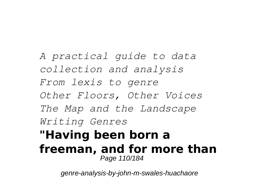*A practical guide to data collection and analysis From lexis to genre Other Floors, Other Voices The Map and the Landscape Writing Genres* **"Having been born a freeman, and for more than** Page 110/184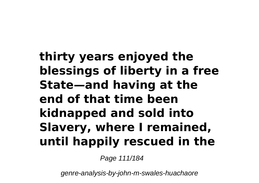# **thirty years enjoyed the blessings of liberty in a free State—and having at the end of that time been kidnapped and sold into Slavery, where I remained, until happily rescued in the**

Page 111/184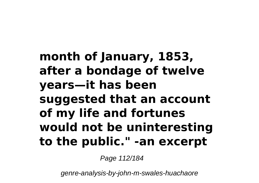## **month of January, 1853, after a bondage of twelve years—it has been suggested that an account of my life and fortunes would not be uninteresting to the public." -an excerpt**

Page 112/184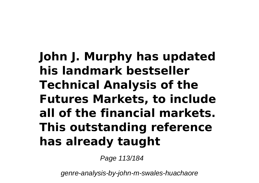# **John J. Murphy has updated his landmark bestseller Technical Analysis of the Futures Markets, to include all of the financial markets. This outstanding reference has already taught**

Page 113/184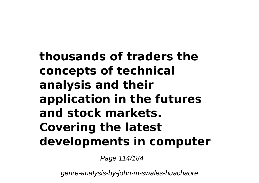# **thousands of traders the concepts of technical analysis and their application in the futures and stock markets. Covering the latest developments in computer**

Page 114/184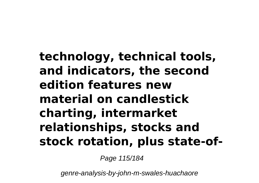### **technology, technical tools, and indicators, the second edition features new material on candlestick charting, intermarket relationships, stocks and stock rotation, plus state-of-**

Page 115/184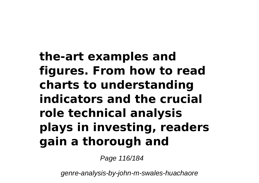# **the-art examples and figures. From how to read charts to understanding indicators and the crucial role technical analysis plays in investing, readers gain a thorough and**

Page 116/184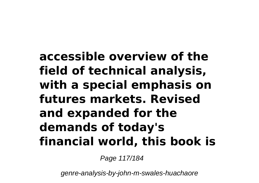## **accessible overview of the field of technical analysis, with a special emphasis on futures markets. Revised and expanded for the demands of today's financial world, this book is**

Page 117/184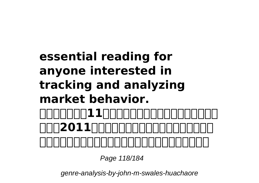### **essential reading for anyone interested in tracking and analyzing market behavior. 本論文選集收錄11篇發表於國立屏東教育大學英語學系主 辦之「2011國立屏東教育大學英語學系學術研討會」 之論文選集。內容涵蓋文學與文化類及語言與英語教學類**

Page 118/184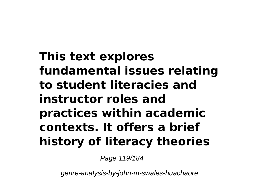# **This text explores fundamental issues relating to student literacies and instructor roles and practices within academic contexts. It offers a brief history of literacy theories**

Page 119/184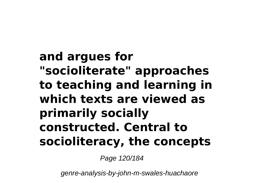**and argues for "socioliterate" approaches to teaching and learning in which texts are viewed as primarily socially constructed. Central to socioliteracy, the concepts**

Page 120/184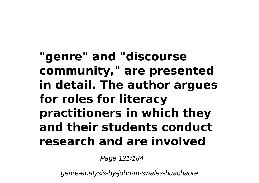**"genre" and "discourse community," are presented in detail. The author argues for roles for literacy practitioners in which they and their students conduct research and are involved**

Page 121/184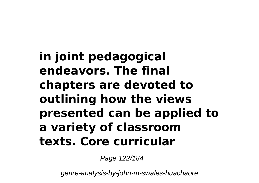**in joint pedagogical endeavors. The final chapters are devoted to outlining how the views presented can be applied to a variety of classroom texts. Core curricular**

Page 122/184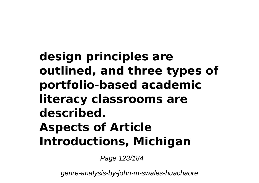# **design principles are outlined, and three types of portfolio-based academic literacy classrooms are described. Aspects of Article Introductions, Michigan**

Page 123/184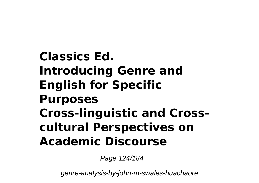## **Classics Ed. Introducing Genre and English for Specific Purposes Cross-linguistic and Crosscultural Perspectives on Academic Discourse**

Page 124/184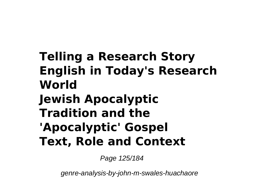# **Telling a Research Story English in Today's Research World Jewish Apocalyptic Tradition and the 'Apocalyptic' Gospel Text, Role and Context**

Page 125/184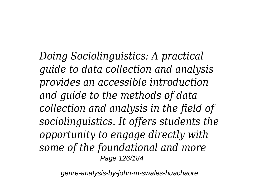*Doing Sociolinguistics: A practical guide to data collection and analysis provides an accessible introduction and guide to the methods of data collection and analysis in the field of sociolinguistics. It offers students the opportunity to engage directly with some of the foundational and more* Page 126/184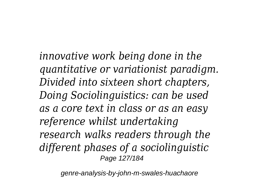*innovative work being done in the quantitative or variationist paradigm. Divided into sixteen short chapters, Doing Sociolinguistics: can be used as a core text in class or as an easy reference whilst undertaking research walks readers through the different phases of a sociolinguistic* Page 127/184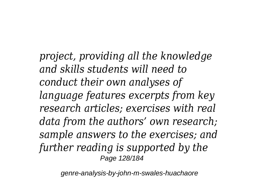*project, providing all the knowledge and skills students will need to conduct their own analyses of language features excerpts from key research articles; exercises with real data from the authors' own research; sample answers to the exercises; and further reading is supported by the* Page 128/184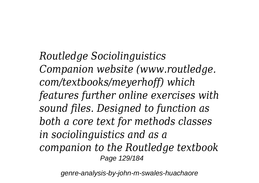*Routledge Sociolinguistics Companion website (www.routledge. com/textbooks/meyerhoff) which features further online exercises with sound files. Designed to function as both a core text for methods classes in sociolinguistics and as a companion to the Routledge textbook* Page 129/184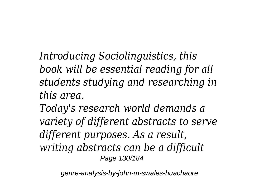*Introducing Sociolinguistics, this book will be essential reading for all students studying and researching in this area.*

*Today's research world demands a variety of different abstracts to serve different purposes. As a result, writing abstracts can be a difficult* Page 130/184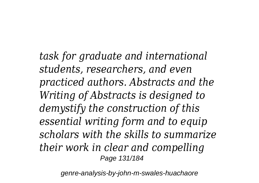*task for graduate and international students, researchers, and even practiced authors. Abstracts and the Writing of Abstracts is designed to demystify the construction of this essential writing form and to equip scholars with the skills to summarize their work in clear and compelling* Page 131/184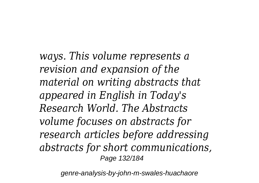*ways. This volume represents a revision and expansion of the material on writing abstracts that appeared in English in Today's Research World. The Abstracts volume focuses on abstracts for research articles before addressing abstracts for short communications,* Page 132/184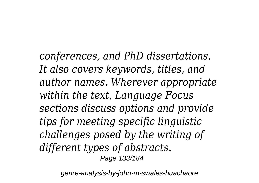*conferences, and PhD dissertations. It also covers keywords, titles, and author names. Wherever appropriate within the text, Language Focus sections discuss options and provide tips for meeting specific linguistic challenges posed by the writing of different types of abstracts.* Page 133/184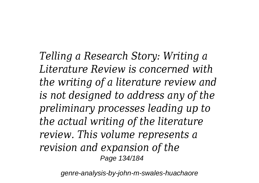*Telling a Research Story: Writing a Literature Review is concerned with the writing of a literature review and is not designed to address any of the preliminary processes leading up to the actual writing of the literature review. This volume represents a revision and expansion of the* Page 134/184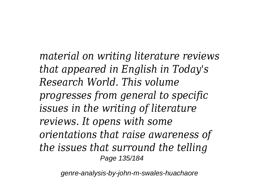*material on writing literature reviews that appeared in English in Today's Research World. This volume progresses from general to specific issues in the writing of literature reviews. It opens with some orientations that raise awareness of the issues that surround the telling* Page 135/184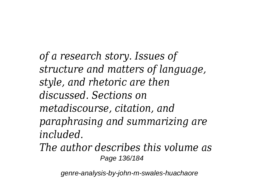*of a research story. Issues of structure and matters of language, style, and rhetoric are then discussed. Sections on metadiscourse, citation, and paraphrasing and summarizing are included.*

*The author describes this volume as* Page 136/184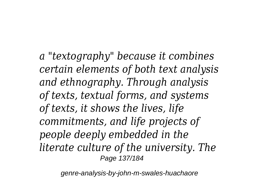*a "textography" because it combines certain elements of both text analysis and ethnography. Through analysis of texts, textual forms, and systems of texts, it shows the lives, life commitments, and life projects of people deeply embedded in the literate culture of the university. The* Page 137/184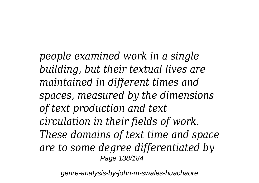*people examined work in a single building, but their textual lives are maintained in different times and spaces, measured by the dimensions of text production and text circulation in their fields of work. These domains of text time and space are to some degree differentiated by* Page 138/184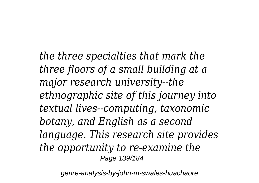*the three specialties that mark the three floors of a small building at a major research university--the ethnographic site of this journey into textual lives--computing, taxonomic botany, and English as a second language. This research site provides the opportunity to re-examine the* Page 139/184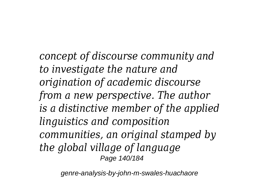*concept of discourse community and to investigate the nature and origination of academic discourse from a new perspective. The author is a distinctive member of the applied linguistics and composition communities, an original stamped by the global village of language* Page 140/184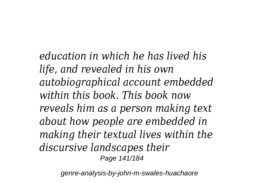*education in which he has lived his life, and revealed in his own autobiographical account embedded within this book. This book now reveals him as a person making text about how people are embedded in making their textual lives within the discursive landscapes their* Page 141/184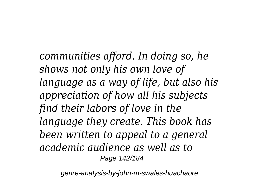*communities afford. In doing so, he shows not only his own love of language as a way of life, but also his appreciation of how all his subjects find their labors of love in the language they create. This book has been written to appeal to a general academic audience as well as to* Page 142/184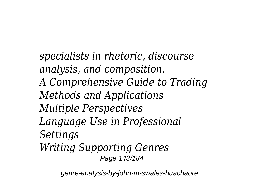*specialists in rhetoric, discourse analysis, and composition. A Comprehensive Guide to Trading Methods and Applications Multiple Perspectives Language Use in Professional Settings Writing Supporting Genres* Page 143/184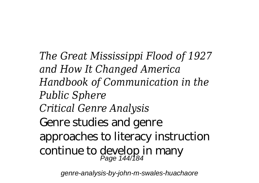*The Great Mississippi Flood of 1927 and How It Changed America Handbook of Communication in the Public Sphere Critical Genre Analysis* Genre studies and genre approaches to literacy instruction continue to develop in many Page 144/184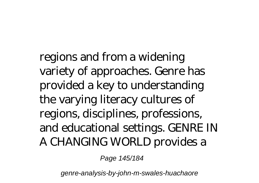regions and from a widening variety of approaches. Genre has provided a key to understanding the varying literacy cultures of regions, disciplines, professions, and educational settings. GENRE IN A CHANGING WORLD provides a

Page 145/184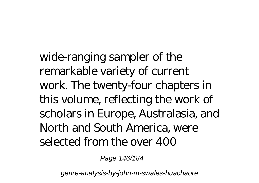wide-ranging sampler of the remarkable variety of current work. The twenty-four chapters in this volume, reflecting the work of scholars in Europe, Australasia, and North and South America, were selected from the over 400

Page 146/184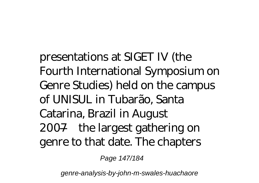presentations at SIGET IV (the Fourth International Symposium on Genre Studies) held on the campus of UNISUL in Tubarão, Santa Catarina, Brazil in August 2007—the largest gathering on genre to that date. The chapters

Page 147/184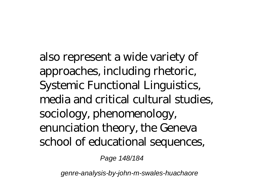also represent a wide variety of approaches, including rhetoric, Systemic Functional Linguistics, media and critical cultural studies, sociology, phenomenology, enunciation theory, the Geneva school of educational sequences,

Page 148/184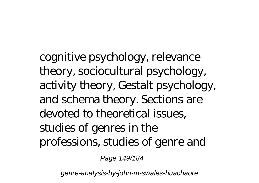cognitive psychology, relevance theory, sociocultural psychology, activity theory, Gestalt psychology, and schema theory. Sections are devoted to theoretical issues, studies of genres in the professions, studies of genre and

Page 149/184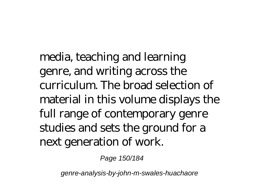media, teaching and learning genre, and writing across the curriculum. The broad selection of material in this volume displays the full range of contemporary genre studies and sets the ground for a next generation of work.

Page 150/184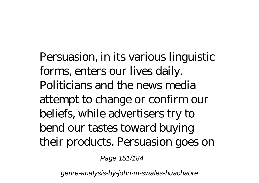Persuasion, in its various linguistic forms, enters our lives daily. Politicians and the news media attempt to change or confirm our beliefs, while advertisers try to bend our tastes toward buying their products. Persuasion goes on

Page 151/184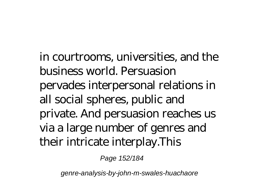in courtrooms, universities, and the business world. Persuasion pervades interpersonal relations in all social spheres, public and private. And persuasion reaches us via a large number of genres and their intricate interplay.This

Page 152/184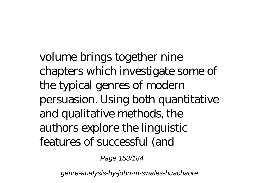volume brings together nine chapters which investigate some of the typical genres of modern persuasion. Using both quantitative and qualitative methods, the authors explore the linguistic features of successful (and

Page 153/184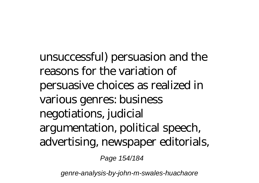unsuccessful) persuasion and the reasons for the variation of persuasive choices as realized in various genres: business negotiations, judicial argumentation, political speech, advertising, newspaper editorials,

Page 154/184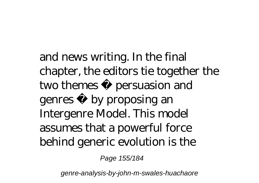and news writing. In the final chapter, the editors tie together the two themes persuasion and genres by proposing an Intergenre Model. This model assumes that a powerful force behind generic evolution is the

Page 155/184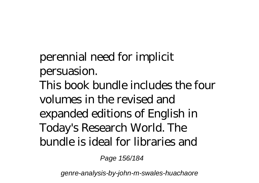perennial need for implicit persuasion. This book bundle includes the four volumes in the revised and expanded editions of English in Today's Research World. The bundle is ideal for libraries and

Page 156/184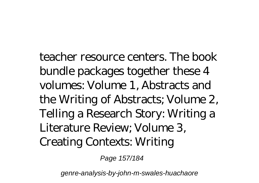teacher resource centers. The book bundle packages together these 4 volumes: Volume 1, Abstracts and the Writing of Abstracts; Volume 2, Telling a Research Story: Writing a Literature Review; Volume 3, Creating Contexts: Writing

Page 157/184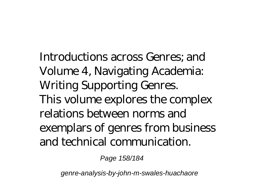Introductions across Genres; and Volume 4, Navigating Academia: Writing Supporting Genres. This volume explores the complex relations between norms and exemplars of genres from business and technical communication.

Page 158/184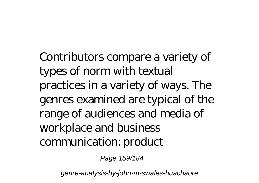Contributors compare a variety of types of norm with textual practices in a variety of ways. The genres examined are typical of the range of audiences and media of workplace and business communication: product

Page 159/184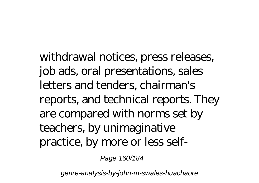withdrawal notices, press releases, job ads, oral presentations, sales letters and tenders, chairman's reports, and technical reports. They are compared with norms set by teachers, by unimaginative practice, by more or less self-

Page 160/184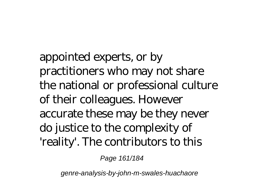appointed experts, or by practitioners who may not share the national or professional culture of their colleagues. However accurate these may be they never do justice to the complexity of 'reality'. The contributors to this

Page 161/184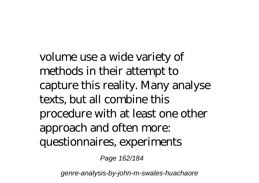volume use a wide variety of methods in their attempt to capture this reality. Many analyse texts, but all combine this procedure with at least one other approach and often more: questionnaires, experiments

Page 162/184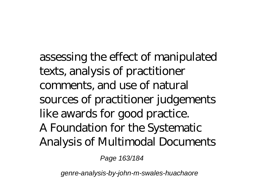assessing the effect of manipulated texts, analysis of practitioner comments, and use of natural sources of practitioner judgements like awards for good practice. A Foundation for the Systematic Analysis of Multimodal Documents

Page 163/184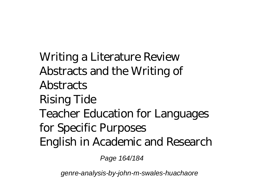Writing a Literature Review Abstracts and the Writing of **Abstracts** Rising Tide Teacher Education for Languages for Specific Purposes English in Academic and Research

Page 164/184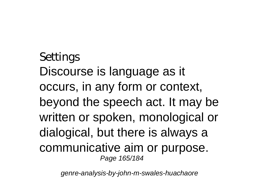Settings Discourse is language as it occurs, in any form or context, beyond the speech act. It may be written or spoken, monological or dialogical, but there is always a communicative aim or purpose. Page 165/184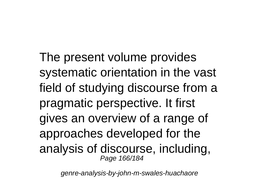The present volume provides systematic orientation in the vast field of studying discourse from a pragmatic perspective. It first gives an overview of a range of approaches developed for the analysis of discourse, including, Page 166/184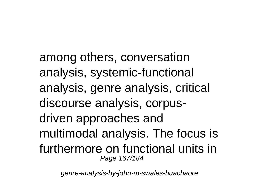among others, conversation analysis, systemic-functional analysis, genre analysis, critical discourse analysis, corpusdriven approaches and multimodal analysis. The focus is furthermore on functional units in Page 167/184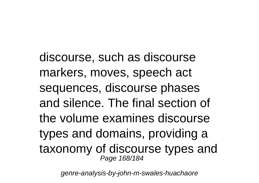discourse, such as discourse markers, moves, speech act sequences, discourse phases and silence. The final section of the volume examines discourse types and domains, providing a taxonomy of discourse types and Page 168/184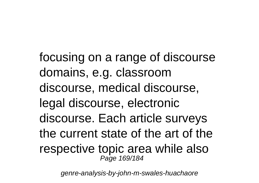focusing on a range of discourse domains, e.g. classroom discourse, medical discourse, legal discourse, electronic discourse. Each article surveys the current state of the art of the respective topic area while also Page 169/184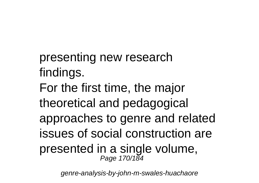presenting new research findings. For the first time, the major theoretical and pedagogical approaches to genre and related issues of social construction are presented in a single volume, Page 170/184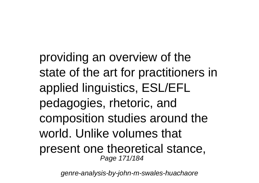providing an overview of the state of the art for practitioners in applied linguistics, ESL/EFL pedagogies, rhetoric, and composition studies around the world. Unlike volumes that present one theoretical stance, Page 171/184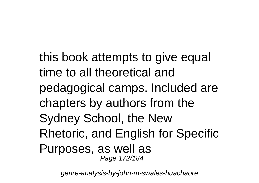this book attempts to give equal time to all theoretical and pedagogical camps. Included are chapters by authors from the Sydney School, the New Rhetoric, and English for Specific Purposes, as well as Page 172/184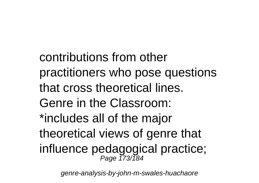contributions from other practitioners who pose questions that cross theoretical lines. Genre in the Classroom: \*includes all of the major theoretical views of genre that influence pedagogical practice;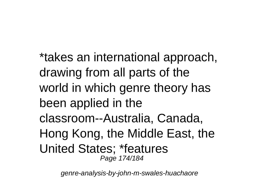\*takes an international approach, drawing from all parts of the world in which genre theory has been applied in the classroom--Australia, Canada, Hong Kong, the Middle East, the United States; \*features Page 174/184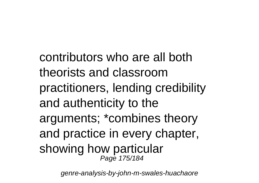contributors who are all both theorists and classroom practitioners, lending credibility and authenticity to the arguments; \*combines theory and practice in every chapter, showing how particular Page 175/184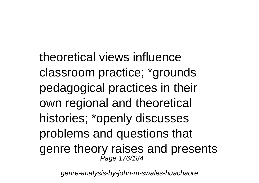theoretical views influence classroom practice; \*grounds pedagogical practices in their own regional and theoretical histories; \*openly discusses problems and questions that genre theory raises and presents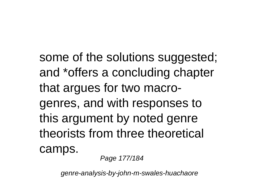some of the solutions suggested; and \*offers a concluding chapter that argues for two macrogenres, and with responses to this argument by noted genre theorists from three theoretical camps.

Page 177/184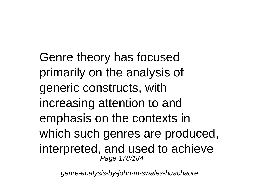Genre theory has focused primarily on the analysis of generic constructs, with increasing attention to and emphasis on the contexts in which such genres are produced, interpreted, and used to achieve Page 178/184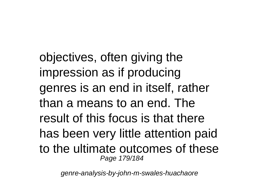objectives, often giving the impression as if producing genres is an end in itself, rather than a means to an end. The result of this focus is that there has been very little attention paid to the ultimate outcomes of these Page 179/184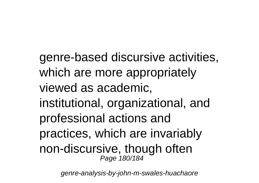genre-based discursive activities, which are more appropriately viewed as academic, institutional, organizational, and professional actions and practices, which are invariably non-discursive, though often Page 180/184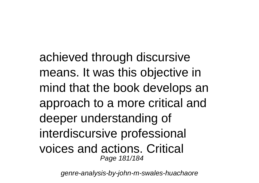achieved through discursive means. It was this objective in mind that the book develops an approach to a more critical and deeper understanding of interdiscursive professional voices and actions. Critical Page 181/184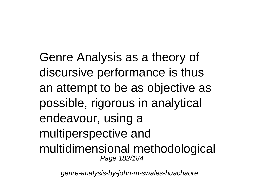Genre Analysis as a theory of discursive performance is thus an attempt to be as objective as possible, rigorous in analytical endeavour, using a multiperspective and multidimensional methodological Page 182/184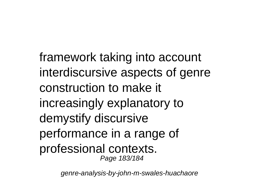framework taking into account interdiscursive aspects of genre construction to make it increasingly explanatory to demystify discursive performance in a range of professional contexts. Page 183/184